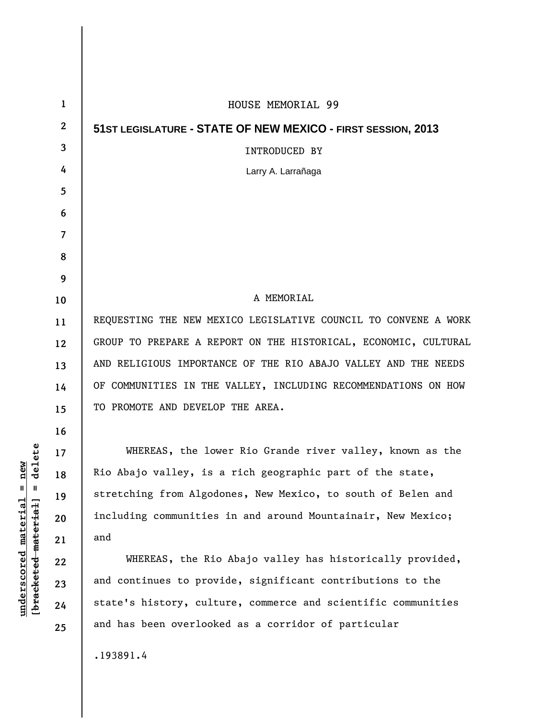| 1            | HOUSE MEMORIAL 99                                               |
|--------------|-----------------------------------------------------------------|
| $\mathbf{2}$ | 51ST LEGISLATURE - STATE OF NEW MEXICO - FIRST SESSION, 2013    |
| 3            | <b>INTRODUCED BY</b>                                            |
| 4            | Larry A. Larrañaga                                              |
| 5            |                                                                 |
| 6            |                                                                 |
| 7            |                                                                 |
| 8            |                                                                 |
| 9            |                                                                 |
| 10           | A MEMORIAL                                                      |
| 11           | REQUESTING THE NEW MEXICO LEGISLATIVE COUNCIL TO CONVENE A WORK |
| 12           | GROUP TO PREPARE A REPORT ON THE HISTORICAL, ECONOMIC, CULTURAL |
| 13           | AND RELIGIOUS IMPORTANCE OF THE RIO ABAJO VALLEY AND THE NEEDS  |
| 14           | OF COMMUNITIES IN THE VALLEY, INCLUDING RECOMMENDATIONS ON HOW  |
| 15           | TO PROMOTE AND DEVELOP THE AREA.                                |
| 16           |                                                                 |
| 17           | WHEREAS, the lower Rio Grande river valley, known as the        |
| 18           | Rio Abajo valley, is a rich geographic part of the state,       |
| 19           | stretching from Algodones, New Mexico, to south of Belen and    |
| 20           | including communities in and around Mountainair, New Mexico;    |
| 21           | and                                                             |
| 22           | WHEREAS, the Rio Abajo valley has historically provided,        |
| 23           | and continues to provide, significant contributions to the      |
| 24           | state's history, culture, commerce and scientific communities   |
| 25           | and has been overlooked as a corridor of particular             |
|              | .193891.4                                                       |
|              |                                                                 |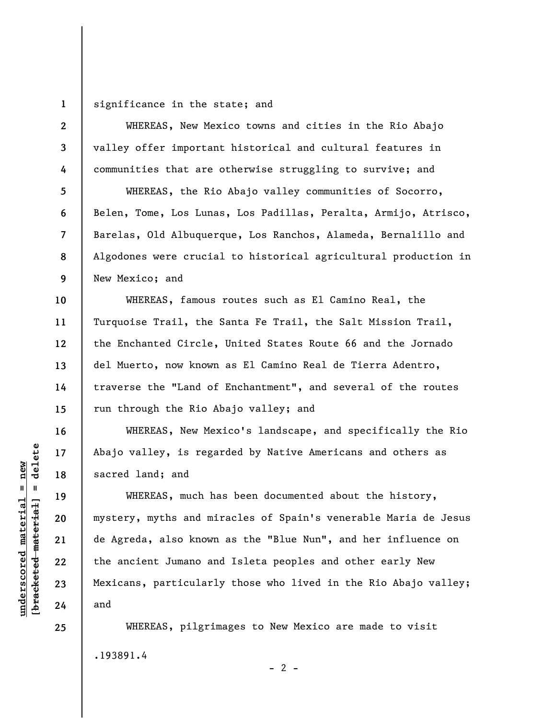**1**  significance in the state; and

**2 3 4 5 6 7 8 9 10 11 12 13 14 15 16**  WHEREAS, New Mexico towns and cities in the Rio Abajo valley offer important historical and cultural features in communities that are otherwise struggling to survive; and WHEREAS, the Rio Abajo valley communities of Socorro, Belen, Tome, Los Lunas, Los Padillas, Peralta, Armijo, Atrisco, Barelas, Old Albuquerque, Los Ranchos, Alameda, Bernalillo and Algodones were crucial to historical agricultural production in New Mexico; and WHEREAS, famous routes such as El Camino Real, the Turquoise Trail, the Santa Fe Trail, the Salt Mission Trail, the Enchanted Circle, United States Route 66 and the Jornado del Muerto, now known as El Camino Real de Tierra Adentro, traverse the "Land of Enchantment", and several of the routes run through the Rio Abajo valley; and WHEREAS, New Mexico's landscape, and specifically the Rio

Abajo valley, is regarded by Native Americans and others as sacred land; and

WHEREAS, much has been documented about the history, mystery, myths and miracles of Spain's venerable Maria de Jesus de Agreda, also known as the "Blue Nun", and her influence on the ancient Jumano and Isleta peoples and other early New Mexicans, particularly those who lived in the Rio Abajo valley; and

WHEREAS, pilgrimages to New Mexico are made to visit .193891.4  $- 2 -$ 

delete **[bracketed material] = delete**  $underscored$  material = new **underscored material = new**  $\mathbf{I}$ bracketed material

**17** 

**18** 

**19** 

**20** 

**21** 

**22** 

**23** 

**24** 

**25**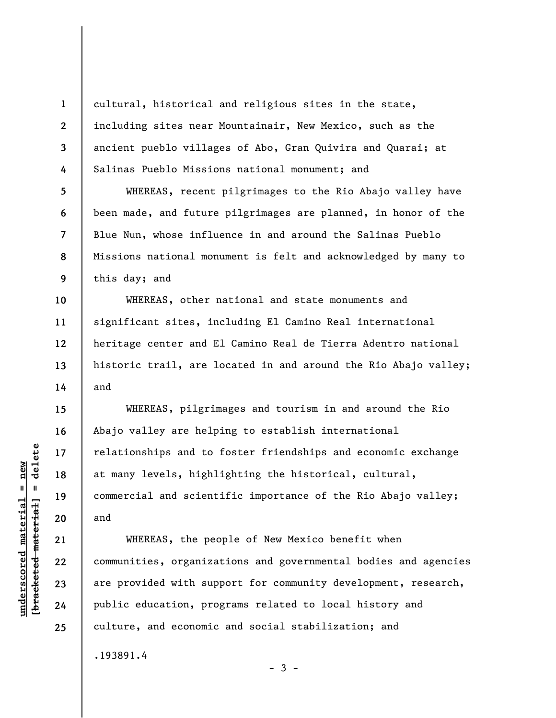cultural, historical and religious sites in the state, including sites near Mountainair, New Mexico, such as the ancient pueblo villages of Abo, Gran Quivira and Quarai; at Salinas Pueblo Missions national monument; and

WHEREAS, recent pilgrimages to the Rio Abajo valley have been made, and future pilgrimages are planned, in honor of the Blue Nun, whose influence in and around the Salinas Pueblo Missions national monument is felt and acknowledged by many to this day; and

WHEREAS, other national and state monuments and significant sites, including El Camino Real international heritage center and El Camino Real de Tierra Adentro national historic trail, are located in and around the Rio Abajo valley; and

WHEREAS, pilgrimages and tourism in and around the Rio Abajo valley are helping to establish international relationships and to foster friendships and economic exchange at many levels, highlighting the historical, cultural, commercial and scientific importance of the Rio Abajo valley; and

WHEREAS, the people of New Mexico benefit when communities, organizations and governmental bodies and agencies are provided with support for community development, research, public education, programs related to local history and culture, and economic and social stabilization; and

 $-3 -$ 

.193891.4

 $\frac{1}{2}$  intereted material = delete **[bracketed material] = delete**  $underscored$  material = new **underscored material = new**

**1** 

**2** 

**3** 

**4** 

**5** 

**6** 

**7** 

**8** 

**9** 

**10** 

**11** 

**12** 

**13** 

**14** 

**15** 

**16** 

**17** 

**18** 

**19** 

**20** 

**21** 

**22** 

**23** 

**24** 

**25**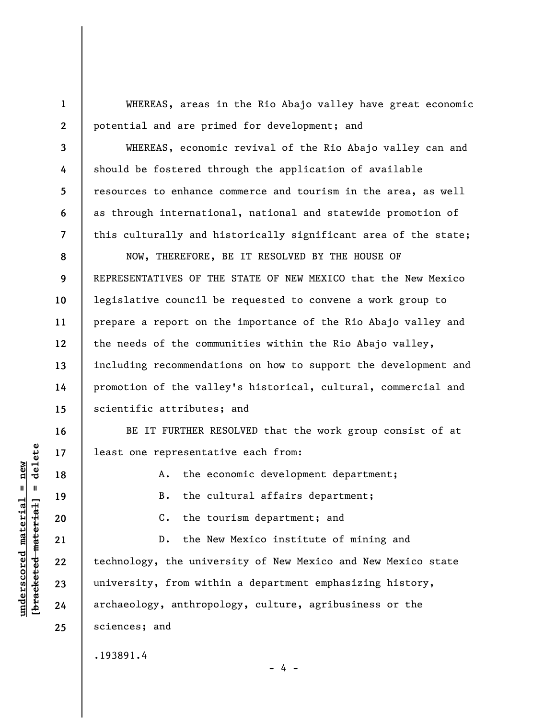WHEREAS, areas in the Rio Abajo valley have great economic potential and are primed for development; and

WHEREAS, economic revival of the Rio Abajo valley can and should be fostered through the application of available resources to enhance commerce and tourism in the area, as well as through international, national and statewide promotion of this culturally and historically significant area of the state;

**8 9 10 11 12 13 14 15**  NOW, THEREFORE, BE IT RESOLVED BY THE HOUSE OF REPRESENTATIVES OF THE STATE OF NEW MEXICO that the New Mexico legislative council be requested to convene a work group to prepare a report on the importance of the Rio Abajo valley and the needs of the communities within the Rio Abajo valley, including recommendations on how to support the development and promotion of the valley's historical, cultural, commercial and scientific attributes; and

BE IT FURTHER RESOLVED that the work group consist of at least one representative each from:

A. the economic development department;

B. the cultural affairs department;

C. the tourism department; and

D. the New Mexico institute of mining and technology, the university of New Mexico and New Mexico state university, from within a department emphasizing history, archaeology, anthropology, culture, agribusiness or the sciences; and

.193891.4

 $=$  delete **[bracketed material] = delete**  $underscored material = new$ **underscored material = new** bracketed material

**1** 

**2** 

**3** 

**4** 

**5** 

**6** 

**7** 

**16** 

**17** 

**18** 

**19** 

**20** 

**21** 

**22** 

**23** 

**24** 

**25** 

- 4 -